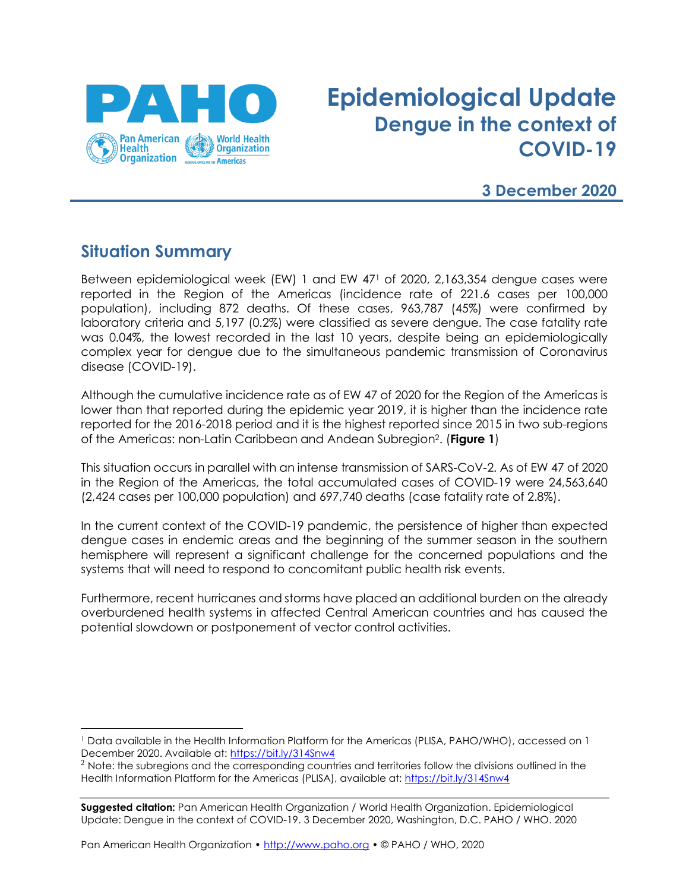

# **Epidemiological Update Dengue in the context of COVID-19**

## **3 December 2020**

# **Situation Summary**

Between epidemiological week (EW) 1 and EW 47<sup>1</sup> of 2020, 2,163,354 dengue cases were reported in the Region of the Americas (incidence rate of 221.6 cases per 100,000 population), including 872 deaths. Of these cases, 963,787 (45%) were confirmed by laboratory criteria and 5,197 (0.2%) were classified as severe dengue. The case fatality rate was 0.04%, the lowest recorded in the last 10 years, despite being an epidemiologically complex year for dengue due to the simultaneous pandemic transmission of Coronavirus disease (COVID-19).

Although the cumulative incidence rate as of EW 47 of 2020 for the Region of the Americas is lower than that reported during the epidemic year 2019, it is higher than the incidence rate reported for the 2016-2018 period and it is the highest reported since 2015 in two sub-regions of the Americas: non-Latin Caribbean and Andean Subregion2. (**Figure 1**)

This situation occurs in parallel with an intense transmission of SARS-CoV-2. As of EW 47 of 2020 in the Region of the Americas, the total accumulated cases of COVID-19 were 24,563,640 (2,424 cases per 100,000 population) and 697,740 deaths (case fatality rate of 2.8%).

In the current context of the COVID-19 pandemic, the persistence of higher than expected dengue cases in endemic areas and the beginning of the summer season in the southern hemisphere will represent a significant challenge for the concerned populations and the systems that will need to respond to concomitant public health risk events.

Furthermore, recent hurricanes and storms have placed an additional burden on the already overburdened health systems in affected Central American countries and has caused the potential slowdown or postponement of vector control activities.

<sup>1</sup> Data available in the Health Information Platform for the Americas (PLISA, PAHO/WHO), accessed on 1 December 2020. Available at:<https://bit.ly/314Snw4>

<sup>&</sup>lt;sup>2</sup> Note: the subregions and the corresponding countries and territories follow the divisions outlined in the Health Information Platform for the Americas (PLISA), available at:<https://bit.ly/314Snw4>

**Suggested citation:** Pan American Health Organization / World Health Organization. Epidemiological Update: Dengue in the context of COVID-19. 3 December 2020, Washington, D.C. PAHO / WHO. 2020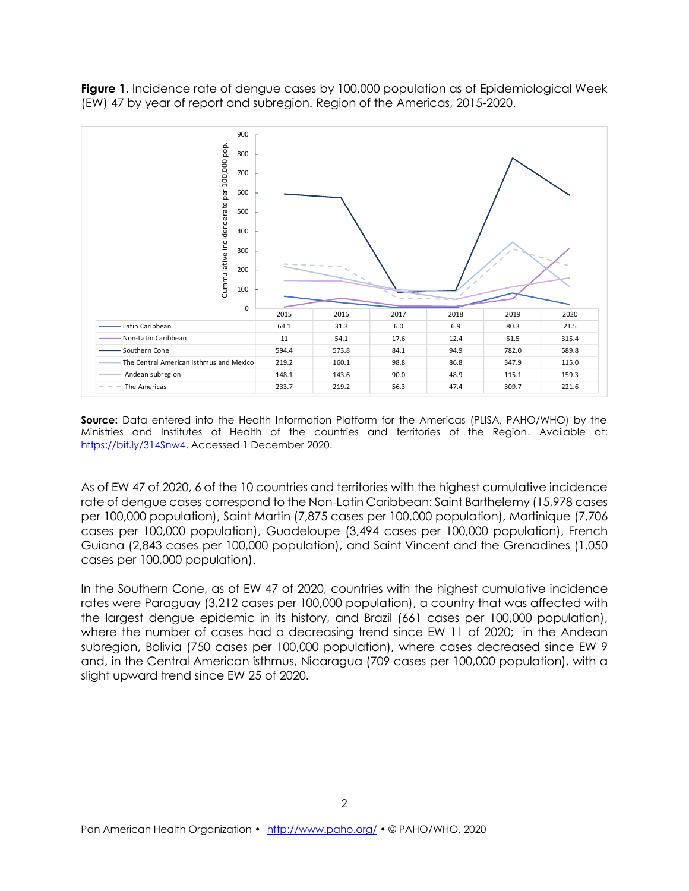**Figure 1**. Incidence rate of dengue cases by 100,000 population as of Epidemiological Week (EW) 47 by year of report and subregion. Region of the Americas, 2015-2020.



**Source:** Data entered into the Health Information Platform for the Americas (PLISA, PAHO/WHO) by the Ministries and Institutes of Health of the countries and territories of the Region. Available at: [https://bit.ly/314Snw4.](https://bit.ly/314Snw4) Accessed 1 December 2020.

As of EW 47 of 2020, 6 of the 10 countries and territories with the highest cumulative incidence rate of dengue cases correspond to the Non-Latin Caribbean: Saint Barthelemy (15,978 cases per 100,000 population), Saint Martin (7,875 cases per 100,000 population), Martinique (7,706 cases per 100,000 population), Guadeloupe (3,494 cases per 100,000 population), French Guiana (2,843 cases per 100,000 population), and Saint Vincent and the Grenadines (1,050 cases per 100,000 population).

In the Southern Cone, as of EW 47 of 2020, countries with the highest cumulative incidence rates were Paraguay (3,212 cases per 100,000 population), a country that was affected with the largest dengue epidemic in its history, and Brazil (661 cases per 100,000 population), where the number of cases had a decreasing trend since EW 11 of 2020; in the Andean subregion, Bolivia (750 cases per 100,000 population), where cases decreased since EW 9 and, in the Central American isthmus, Nicaragua (709 cases per 100,000 population), with a slight upward trend since EW 25 of 2020.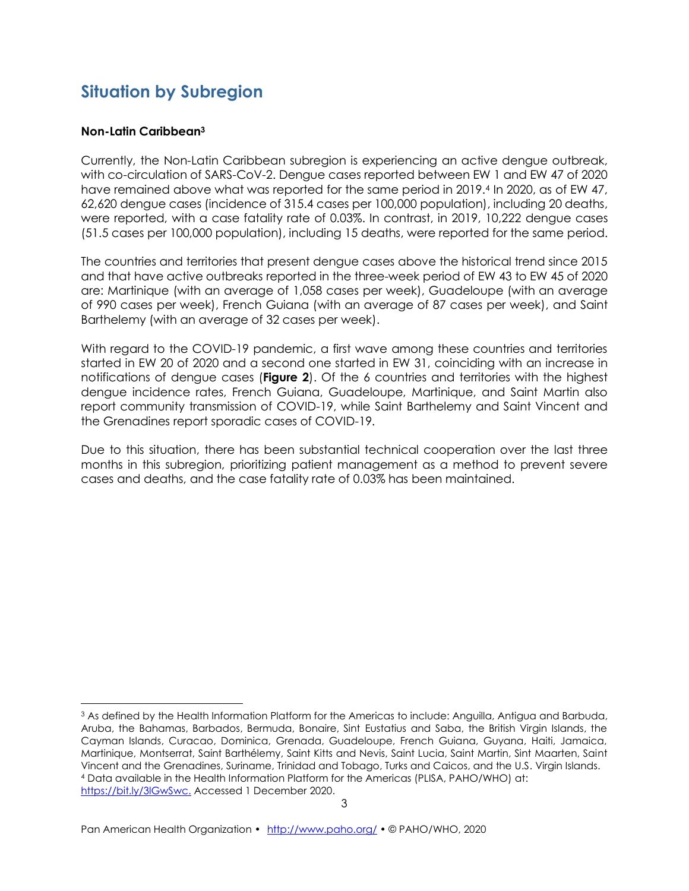# **Situation by Subregion**

#### **Non-Latin Caribbean<sup>3</sup>**

Currently, the Non-Latin Caribbean subregion is experiencing an active dengue outbreak, with co-circulation of SARS-CoV-2. Dengue cases reported between EW 1 and EW 47 of 2020 have remained above what was reported for the same period in 2019.<sup>4</sup> In 2020, as of EW 47, 62,620 dengue cases (incidence of 315.4 cases per 100,000 population), including 20 deaths, were reported, with a case fatality rate of 0.03%. In contrast, in 2019, 10,222 dengue cases (51.5 cases per 100,000 population), including 15 deaths, were reported for the same period.

The countries and territories that present dengue cases above the historical trend since 2015 and that have active outbreaks reported in the three-week period of EW 43 to EW 45 of 2020 are: Martinique (with an average of 1,058 cases per week), Guadeloupe (with an average of 990 cases per week), French Guiana (with an average of 87 cases per week), and Saint Barthelemy (with an average of 32 cases per week).

With regard to the COVID-19 pandemic, a first wave among these countries and territories started in EW 20 of 2020 and a second one started in EW 31, coinciding with an increase in notifications of dengue cases (**Figure 2**). Of the 6 countries and territories with the highest dengue incidence rates, French Guiana, Guadeloupe, Martinique, and Saint Martin also report community transmission of COVID-19, while Saint Barthelemy and Saint Vincent and the Grenadines report sporadic cases of COVID-19.

Due to this situation, there has been substantial technical cooperation over the last three months in this subregion, prioritizing patient management as a method to prevent severe cases and deaths, and the case fatality rate of 0.03% has been maintained.

<sup>3</sup> As defined by the Health Information Platform for the Americas to include: Anguilla, Antigua and Barbuda, Aruba, the Bahamas, Barbados, Bermuda, Bonaire, Sint Eustatius and Saba, the British Virgin Islands, the Cayman Islands, Curacao, Dominica, Grenada, Guadeloupe, French Guiana, Guyana, Haiti, Jamaica, Martinique, Montserrat, Saint Barthélemy, Saint Kitts and Nevis, Saint Lucia, Saint Martin, Sint Maarten, Saint Vincent and the Grenadines, Suriname, Trinidad and Tobago, Turks and Caicos, and the U.S. Virgin Islands. <sup>4</sup> Data available in the Health Information Platform for the Americas (PLISA, PAHO/WHO) at: [https://bit.ly/3lGwSwc.](https://bit.ly/3lGwSwc) Accessed 1 December 2020.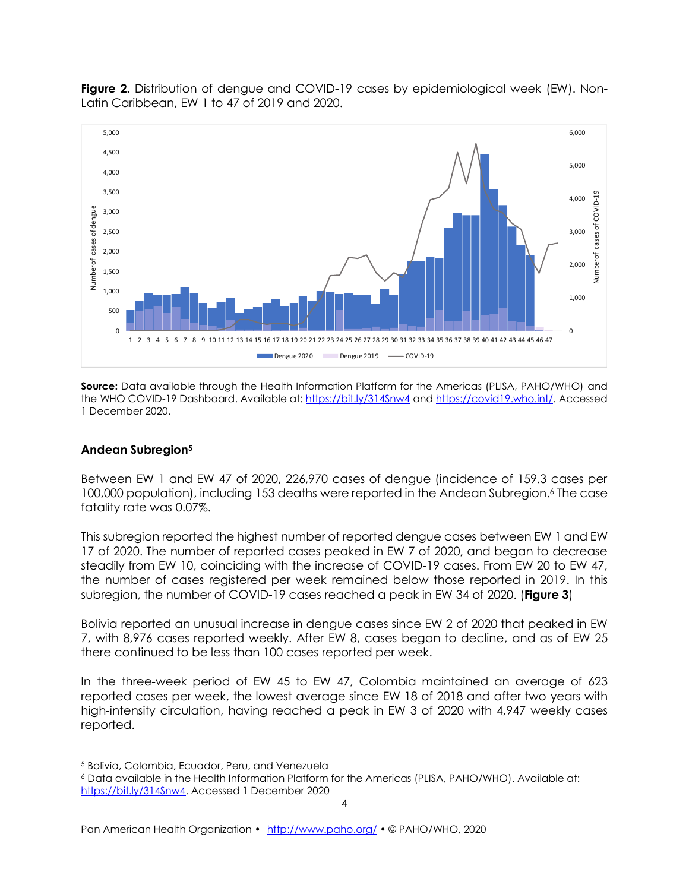

**Figure 2.** Distribution of dengue and COVID-19 cases by epidemiological week (EW). Non-Latin Caribbean, EW 1 to 47 of 2019 and 2020.

**Source:** Data available through the Health Information Platform for the Americas (PLISA, PAHO/WHO) and the WHO COVID-19 Dashboard. Available at[: https://bit.ly/314Snw4](https://bit.ly/314Snw4) and [https://covid19.who.int/.](https://covid19.who.int/) Accessed 1 December 2020.

#### **Andean Subregion<sup>5</sup>**

Between EW 1 and EW 47 of 2020, 226,970 cases of dengue (incidence of 159.3 cases per 100,000 population), including 153 deaths were reported in the Andean Subregion. <sup>6</sup> The case fatality rate was 0.07%.

This subregion reported the highest number of reported dengue cases between EW 1 and EW 17 of 2020. The number of reported cases peaked in EW 7 of 2020, and began to decrease steadily from EW 10, coinciding with the increase of COVID-19 cases. From EW 20 to EW 47, the number of cases registered per week remained below those reported in 2019. In this subregion, the number of COVID-19 cases reached a peak in EW 34 of 2020. (**Figure 3**)

Bolivia reported an unusual increase in dengue cases since EW 2 of 2020 that peaked in EW 7, with 8,976 cases reported weekly. After EW 8, cases began to decline, and as of EW 25 there continued to be less than 100 cases reported per week.

In the three-week period of EW 45 to EW 47, Colombia maintained an average of 623 reported cases per week, the lowest average since EW 18 of 2018 and after two years with high-intensity circulation, having reached a peak in EW 3 of 2020 with 4,947 weekly cases reported.

<sup>5</sup> Bolivia, Colombia, Ecuador, Peru, and Venezuela

<sup>6</sup> Data available in the Health Information Platform for the Americas (PLISA, PAHO/WHO). Available at: [https://bit.ly/314Snw4.](https://bit.ly/314Snw4) Accessed 1 December 2020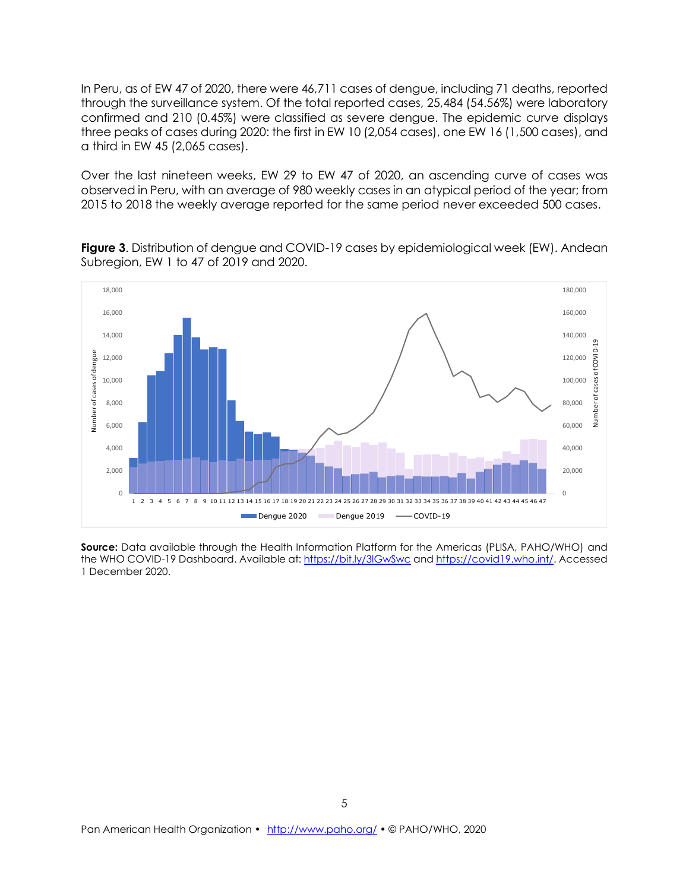In Peru, as of EW 47 of 2020, there were 46,711 cases of dengue, including 71 deaths, reported through the surveillance system. Of the total reported cases, 25,484 (54.56%) were laboratory confirmed and 210 (0.45%) were classified as severe dengue. The epidemic curve displays three peaks of cases during 2020: the first in EW 10 (2,054 cases), one EW 16 (1,500 cases), and a third in EW 45 (2,065 cases).

Over the last nineteen weeks, EW 29 to EW 47 of 2020, an ascending curve of cases was observed in Peru, with an average of 980 weekly cases in an atypical period of the year; from 2015 to 2018 the weekly average reported for the same period never exceeded 500 cases.

**Figure 3**. Distribution of dengue and COVID-19 cases by epidemiological week (EW). Andean Subregion, EW 1 to 47 of 2019 and 2020.



**Source:** Data available through the Health Information Platform for the Americas (PLISA, PAHO/WHO) and the WHO COVID-19 Dashboard. Available at:<https://bit.ly/3lGwSwc> and [https://covid19.who.int/.](https://covid19.who.int/) Accessed 1 December 2020.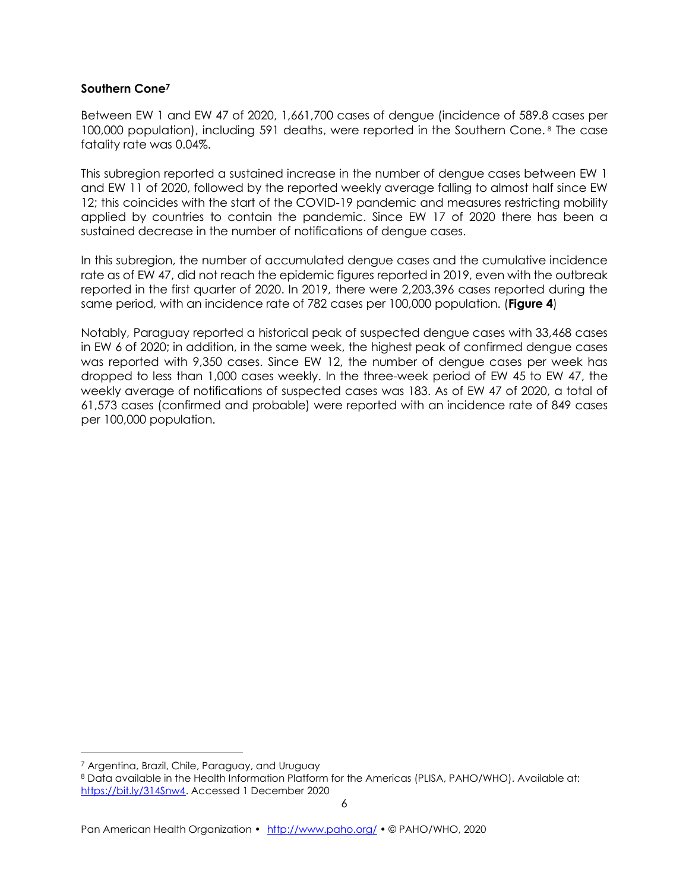#### **Southern Cone<sup>7</sup>**

Between EW 1 and EW 47 of 2020, 1,661,700 cases of dengue (incidence of 589.8 cases per 100,000 population), including 591 deaths, were reported in the Southern Cone. <sup>8</sup> The case fatality rate was 0.04%.

This subregion reported a sustained increase in the number of dengue cases between EW 1 and EW 11 of 2020, followed by the reported weekly average falling to almost half since EW 12; this coincides with the start of the COVID-19 pandemic and measures restricting mobility applied by countries to contain the pandemic. Since EW 17 of 2020 there has been a sustained decrease in the number of notifications of dengue cases.

In this subregion, the number of accumulated dengue cases and the cumulative incidence rate as of EW 47, did not reach the epidemic figures reported in 2019, even with the outbreak reported in the first quarter of 2020. In 2019, there were 2,203,396 cases reported during the same period, with an incidence rate of 782 cases per 100,000 population. (**Figure 4**)

Notably, Paraguay reported a historical peak of suspected dengue cases with 33,468 cases in EW 6 of 2020; in addition, in the same week, the highest peak of confirmed dengue cases was reported with 9,350 cases. Since EW 12, the number of dengue cases per week has dropped to less than 1,000 cases weekly. In the three-week period of EW 45 to EW 47, the weekly average of notifications of suspected cases was 183. As of EW 47 of 2020, a total of 61,573 cases (confirmed and probable) were reported with an incidence rate of 849 cases per 100,000 population.

<sup>7</sup> Argentina, Brazil, Chile, Paraguay, and Uruguay

<sup>8</sup> Data available in the Health Information Platform for the Americas (PLISA, PAHO/WHO). Available at: [https://bit.ly/314Snw4.](https://bit.ly/314Snw4) Accessed 1 December 2020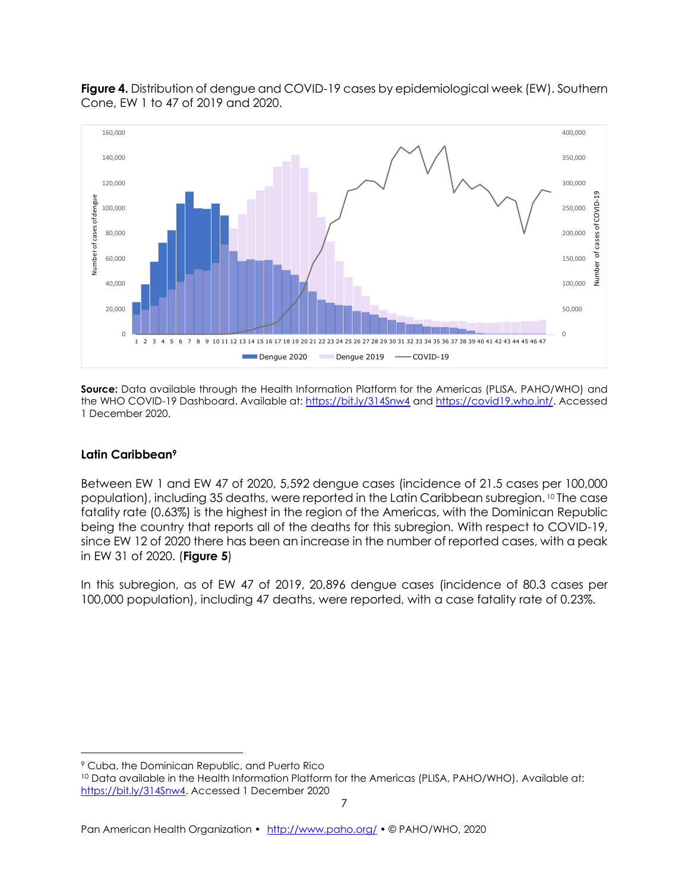

**Figure 4.** Distribution of dengue and COVID-19 cases by epidemiological week (EW). Southern Cone, EW 1 to 47 of 2019 and 2020.

**Source:** Data available through the Health Information Platform for the Americas (PLISA, PAHO/WHO) and the WHO COVID-19 Dashboard. Available at[: https://bit.ly/314Snw4](https://bit.ly/314Snw4) and [https://covid19.who.int/.](https://covid19.who.int/) Accessed 1 December 2020.

#### **Latin Caribbean<sup>9</sup>**

Between EW 1 and EW 47 of 2020, 5,592 dengue cases (incidence of 21.5 cases per 100,000 population), including 35 deaths, were reported in the Latin Caribbean subregion. <sup>10</sup> The case fatality rate (0.63%) is the highest in the region of the Americas, with the Dominican Republic being the country that reports all of the deaths for this subregion. With respect to COVID-19, since EW 12 of 2020 there has been an increase in the number of reported cases, with a peak in EW 31 of 2020. (**Figure 5**)

In this subregion, as of EW 47 of 2019, 20,896 dengue cases (incidence of 80.3 cases per 100,000 population), including 47 deaths, were reported, with a case fatality rate of 0.23%.

<sup>9</sup> Cuba, the Dominican Republic, and Puerto Rico

<sup>&</sup>lt;sup>10</sup> Data available in the Health Information Platform for the Americas (PLISA, PAHO/WHO). Available at: [https://bit.ly/314Snw4.](https://bit.ly/314Snw4) Accessed 1 December 2020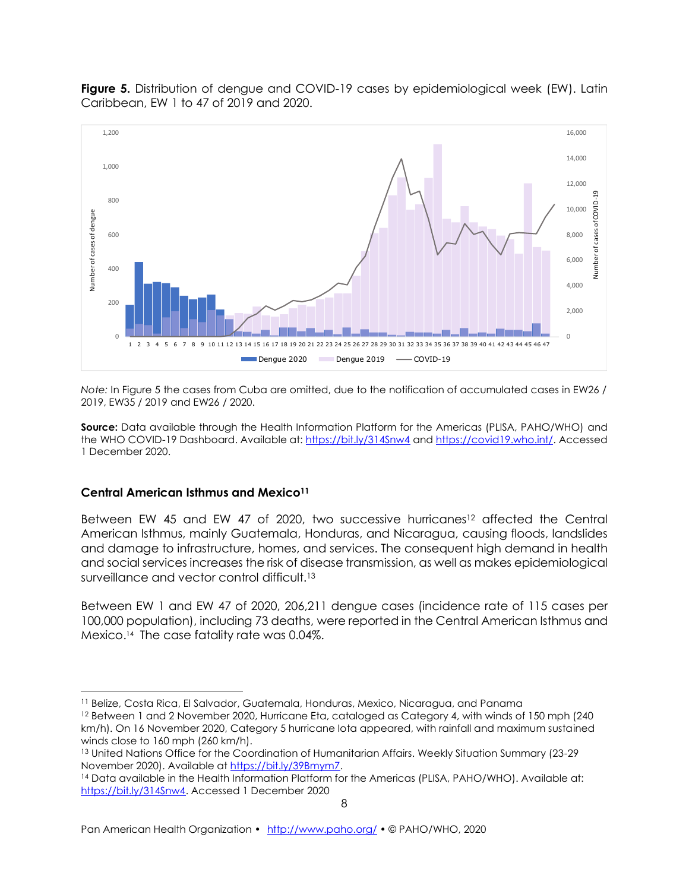

**Figure 5.** Distribution of dengue and COVID-19 cases by epidemiological week (EW). Latin Caribbean, EW 1 to 47 of 2019 and 2020.

*Note:* In Figure 5 the cases from Cuba are omitted, due to the notification of accumulated cases in EW26 / 2019, EW35 / 2019 and EW26 / 2020.

**Source:** Data available through the Health Information Platform for the Americas (PLISA, PAHO/WHO) and the WHO COVID-19 Dashboard. Available at[: https://bit.ly/314Snw4](https://bit.ly/314Snw4) and [https://covid19.who.int/.](https://covid19.who.int/) Accessed 1 December 2020.

#### **Central American Isthmus and Mexico<sup>11</sup>**

Between EW 45 and EW 47 of 2020, two successive hurricanes<sup>12</sup> affected the Central American Isthmus, mainly Guatemala, Honduras, and Nicaragua, causing floods, landslides and damage to infrastructure, homes, and services. The consequent high demand in health and social services increases the risk of disease transmission, as well as makes epidemiological surveillance and vector control difficult.<sup>13</sup>

Between EW 1 and EW 47 of 2020, 206,211 dengue cases (incidence rate of 115 cases per 100,000 population), including 73 deaths, were reported in the Central American Isthmus and Mexico. <sup>14</sup> The case fatality rate was 0.04%.

<sup>11</sup> Belize, Costa Rica, El Salvador, Guatemala, Honduras, Mexico, Nicaragua, and Panama

<sup>12</sup> Between 1 and 2 November 2020, Hurricane Eta, cataloged as Category 4, with winds of 150 mph (240 km/h). On 16 November 2020, Category 5 hurricane Iota appeared, with rainfall and maximum sustained winds close to 160 mph (260 km/h).

<sup>&</sup>lt;sup>13</sup> United Nations Office for the Coordination of Humanitarian Affairs. Weekly Situation Summary (23-29 November 2020). Available at [https://bit.ly/39Bmym7.](https://bit.ly/39Bmym7)

<sup>14</sup> Data available in the Health Information Platform for the Americas (PLISA, PAHO/WHO). Available at: [https://bit.ly/314Snw4.](https://bit.ly/314Snw4) Accessed 1 December 2020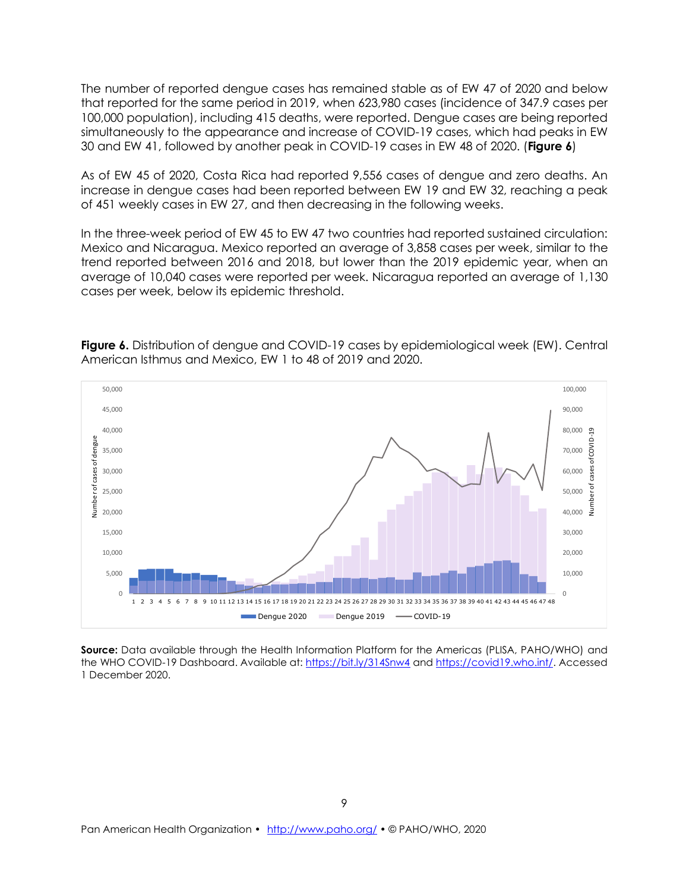The number of reported dengue cases has remained stable as of EW 47 of 2020 and below that reported for the same period in 2019, when 623,980 cases (incidence of 347.9 cases per 100,000 population), including 415 deaths, were reported. Dengue cases are being reported simultaneously to the appearance and increase of COVID-19 cases, which had peaks in EW 30 and EW 41, followed by another peak in COVID-19 cases in EW 48 of 2020. (**Figure 6**)

As of EW 45 of 2020, Costa Rica had reported 9,556 cases of dengue and zero deaths. An increase in dengue cases had been reported between EW 19 and EW 32, reaching a peak of 451 weekly cases in EW 27, and then decreasing in the following weeks.

In the three-week period of EW 45 to EW 47 two countries had reported sustained circulation: Mexico and Nicaragua. Mexico reported an average of 3,858 cases per week, similar to the trend reported between 2016 and 2018, but lower than the 2019 epidemic year, when an average of 10,040 cases were reported per week. Nicaragua reported an average of 1,130 cases per week, below its epidemic threshold.



**Figure 6.** Distribution of dengue and COVID-19 cases by epidemiological week (EW). Central American Isthmus and Mexico, EW 1 to 48 of 2019 and 2020.

**Source:** Data available through the Health Information Platform for the Americas (PLISA, PAHO/WHO) and the WHO COVID-19 Dashboard. Available at[: https://bit.ly/314Snw4](https://bit.ly/314Snw4) and [https://covid19.who.int/.](https://covid19.who.int/) Accessed 1 December 2020.